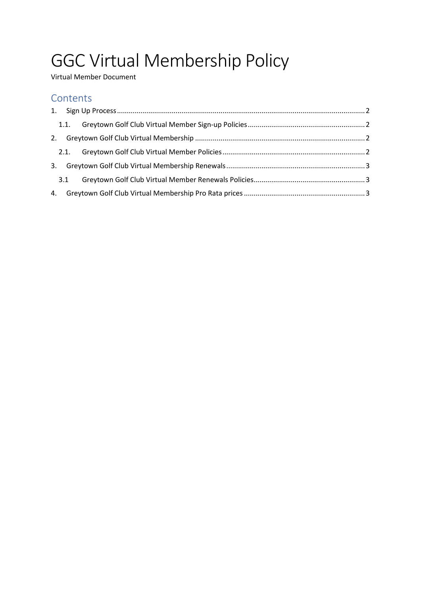# GGC Virtual Membership Policy

Virtual Member Document

## **Contents**

| 3.1 |                  |  |
|-----|------------------|--|
|     |                  |  |
|     | 1.1.<br>3.<br>4. |  |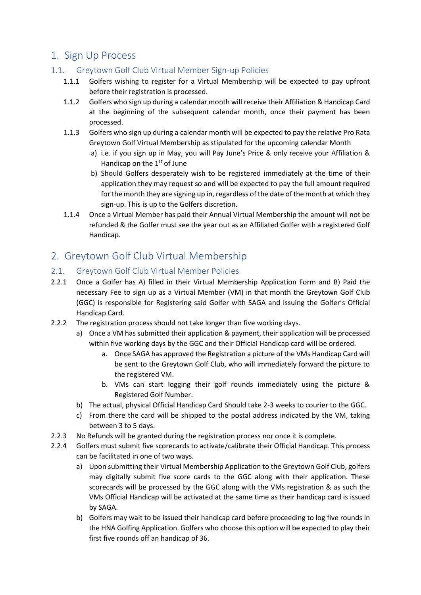# <span id="page-1-0"></span>1. Sign Up Process

### <span id="page-1-1"></span>1.1. Greytown Golf Club Virtual Member Sign-up Policies

- 1.1.1 Golfers wishing to register for a Virtual Membership will be expected to pay upfront before their registration is processed.
- 1.1.2 Golfers who sign up during a calendar month will receive their Affiliation & Handicap Card at the beginning of the subsequent calendar month, once their payment has been processed.
- 1.1.3 Golfers who sign up during a calendar month will be expected to pay the relative Pro Rata Greytown Golf Virtual Membership as stipulated for the upcoming calendar Month
	- a) i.e. if you sign up in May, you will Pay June's Price & only receive your Affiliation & Handicap on the  $1<sup>st</sup>$  of June
	- b) Should Golfers desperately wish to be registered immediately at the time of their application they may request so and will be expected to pay the full amount required for the month they are signing up in, regardless of the date of the month at which they sign-up. This is up to the Golfers discretion.
- 1.1.4 Once a Virtual Member has paid their Annual Virtual Membership the amount will not be refunded & the Golfer must see the year out as an Affiliated Golfer with a registered Golf Handicap.

# <span id="page-1-2"></span>2. Greytown Golf Club Virtual Membership

#### <span id="page-1-3"></span>2.1. Greytown Golf Club Virtual Member Policies

- 2.2.1 Once a Golfer has A) filled in their Virtual Membership Application Form and B) Paid the necessary Fee to sign up as a Virtual Member (VM) in that month the Greytown Golf Club (GGC) is responsible for Registering said Golfer with SAGA and issuing the Golfer's Official Handicap Card.
- 2.2.2 The registration process should not take longer than five working days.
	- a) Once a VM has submitted their application & payment, their application will be processed within five working days by the GGC and their Official Handicap card will be ordered.
		- a. Once SAGA has approved the Registration a picture of the VMs Handicap Card will be sent to the Greytown Golf Club, who will immediately forward the picture to the registered VM.
		- b. VMs can start logging their golf rounds immediately using the picture & Registered Golf Number.
	- b) The actual, physical Official Handicap Card Should take 2-3 weeks to courier to the GGC.
	- c) From there the card will be shipped to the postal address indicated by the VM, taking between 3 to 5 days.
- 2.2.3 No Refunds will be granted during the registration process nor once it is complete.
- 2.2.4 Golfers must submit five scorecards to activate/calibrate their Official Handicap. This process can be facilitated in one of two ways.
	- a) Upon submitting their Virtual Membership Application to the Greytown Golf Club, golfers may digitally submit five score cards to the GGC along with their application. These scorecards will be processed by the GGC along with the VMs registration & as such the VMs Official Handicap will be activated at the same time as their handicap card is issued by SAGA.
	- b) Golfers may wait to be issued their handicap card before proceeding to log five rounds in the HNA Golfing Application. Golfers who choose this option will be expected to play their first five rounds off an handicap of 36.